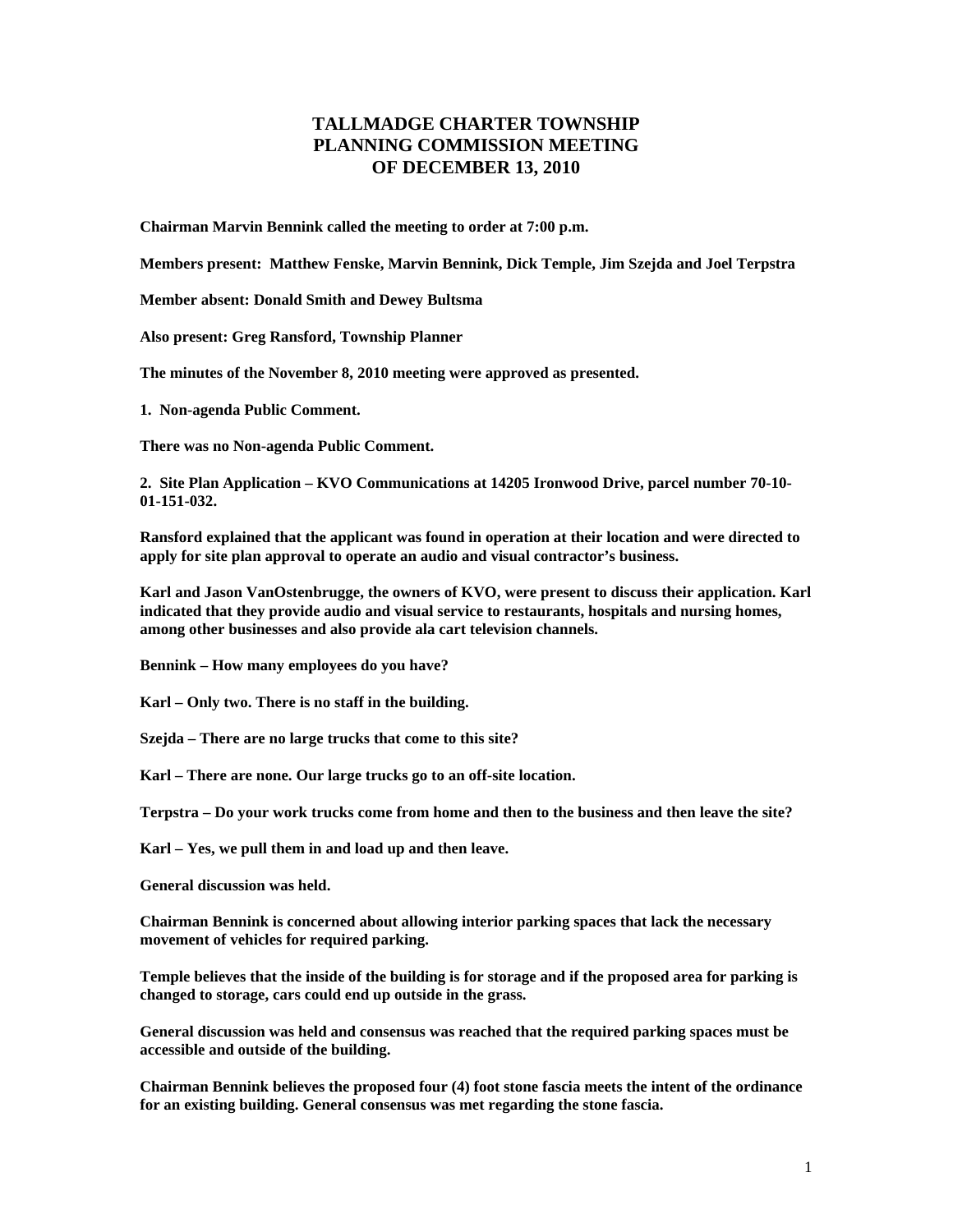## **TALLMADGE CHARTER TOWNSHIP PLANNING COMMISSION MEETING OF DECEMBER 13, 2010**

**Chairman Marvin Bennink called the meeting to order at 7:00 p.m.** 

**Members present: Matthew Fenske, Marvin Bennink, Dick Temple, Jim Szejda and Joel Terpstra** 

**Member absent: Donald Smith and Dewey Bultsma** 

**Also present: Greg Ransford, Township Planner** 

**The minutes of the November 8, 2010 meeting were approved as presented.** 

**1. Non-agenda Public Comment.** 

**There was no Non-agenda Public Comment.** 

**2. Site Plan Application – KVO Communications at 14205 Ironwood Drive, parcel number 70-10- 01-151-032.** 

**Ransford explained that the applicant was found in operation at their location and were directed to apply for site plan approval to operate an audio and visual contractor's business.** 

**Karl and Jason VanOstenbrugge, the owners of KVO, were present to discuss their application. Karl indicated that they provide audio and visual service to restaurants, hospitals and nursing homes, among other businesses and also provide ala cart television channels.** 

**Bennink – How many employees do you have?** 

**Karl – Only two. There is no staff in the building.** 

**Szejda – There are no large trucks that come to this site?** 

**Karl – There are none. Our large trucks go to an off-site location.** 

**Terpstra – Do your work trucks come from home and then to the business and then leave the site?** 

**Karl – Yes, we pull them in and load up and then leave.** 

**General discussion was held.** 

**Chairman Bennink is concerned about allowing interior parking spaces that lack the necessary movement of vehicles for required parking.** 

**Temple believes that the inside of the building is for storage and if the proposed area for parking is changed to storage, cars could end up outside in the grass.** 

**General discussion was held and consensus was reached that the required parking spaces must be accessible and outside of the building.** 

**Chairman Bennink believes the proposed four (4) foot stone fascia meets the intent of the ordinance for an existing building. General consensus was met regarding the stone fascia.**